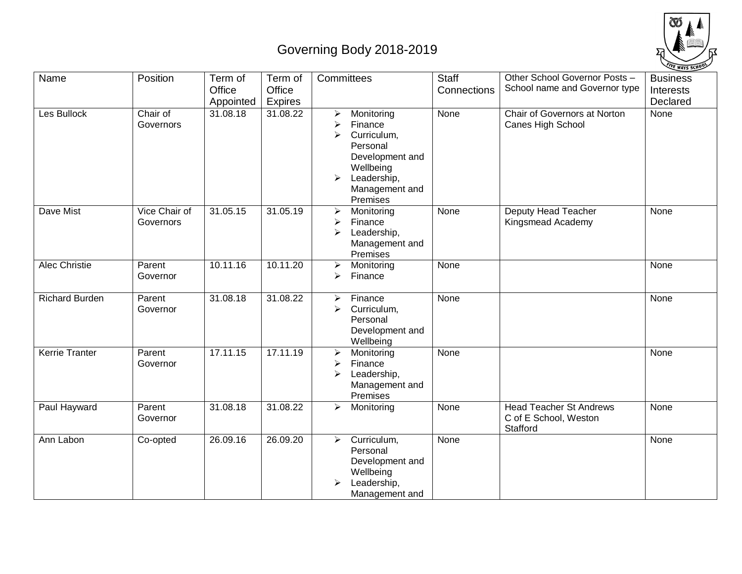## Governing Body 2018-2019



| Name                  | Position                   | Term of<br>Office<br>Appointed | Term of<br>Office<br><b>Expires</b> | Committees                                                                                                                                                            | <b>Staff</b><br>Connections | Other School Governor Posts -<br>School name and Governor type      | <b>Business</b><br><b>Interests</b><br>Declared |
|-----------------------|----------------------------|--------------------------------|-------------------------------------|-----------------------------------------------------------------------------------------------------------------------------------------------------------------------|-----------------------------|---------------------------------------------------------------------|-------------------------------------------------|
| Les Bullock           | Chair of<br>Governors      | 31.08.18                       | 31.08.22                            | ➤<br>Monitoring<br>Finance<br>≻<br>Curriculum,<br>➤<br>Personal<br>Development and<br>Wellbeing<br>Leadership,<br>$\blacktriangleright$<br>Management and<br>Premises | None                        | Chair of Governors at Norton<br>Canes High School                   | None                                            |
| Dave Mist             | Vice Chair of<br>Governors | 31.05.15                       | 31.05.19                            | $\blacktriangleright$<br>Monitoring<br>Finance<br>➤<br>Leadership,<br>➤<br>Management and<br>Premises                                                                 | None                        | Deputy Head Teacher<br>Kingsmead Academy                            | None                                            |
| Alec Christie         | Parent<br>Governor         | 10.11.16                       | 10.11.20                            | $\blacktriangleright$<br>Monitoring<br>➤<br>Finance                                                                                                                   | None                        |                                                                     | None                                            |
| <b>Richard Burden</b> | Parent<br>Governor         | 31.08.18                       | 31.08.22                            | Finance<br>$\blacktriangleright$<br>$\blacktriangleright$<br>Curriculum,<br>Personal<br>Development and<br>Wellbeing                                                  | None                        |                                                                     | None                                            |
| <b>Kerrie Tranter</b> | Parent<br>Governor         | 17.11.15                       | 17.11.19                            | Monitoring<br>$\blacktriangleright$<br>Finance<br>➤<br>Leadership,<br>➤<br>Management and<br>Premises                                                                 | None                        |                                                                     | None                                            |
| Paul Hayward          | Parent<br>Governor         | 31.08.18                       | 31.08.22                            | $\blacktriangleright$<br>Monitoring                                                                                                                                   | None                        | <b>Head Teacher St Andrews</b><br>C of E School, Weston<br>Stafford | None                                            |
| Ann Labon             | Co-opted                   | 26.09.16                       | 26.09.20                            | Curriculum,<br>➤<br>Personal<br>Development and<br>Wellbeing<br>Leadership,<br>Management and                                                                         | None                        |                                                                     | None                                            |